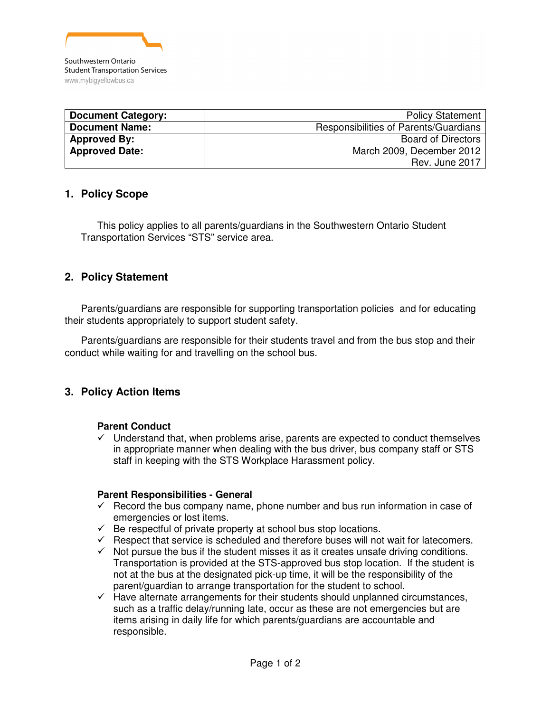

| <b>Document Category:</b> | <b>Policy Statement</b>               |
|---------------------------|---------------------------------------|
| <b>Document Name:</b>     | Responsibilities of Parents/Guardians |
| <b>Approved By:</b>       | <b>Board of Directors</b>             |
| <b>Approved Date:</b>     | March 2009, December 2012             |
|                           | Rev. June 2017                        |

## **1. Policy Scope**

This policy applies to all parents/guardians in the Southwestern Ontario Student Transportation Services "STS" service area.

# **2. Policy Statement**

Parents/guardians are responsible for supporting transportation policies and for educating their students appropriately to support student safety.

Parents/guardians are responsible for their students travel and from the bus stop and their conduct while waiting for and travelling on the school bus.

## **3. Policy Action Items**

#### **Parent Conduct**

 $\checkmark$  Understand that, when problems arise, parents are expected to conduct themselves in appropriate manner when dealing with the bus driver, bus company staff or STS staff in keeping with the STS Workplace Harassment policy.

#### **Parent Responsibilities - General**

- $\checkmark$  Record the bus company name, phone number and bus run information in case of emergencies or lost items.
- $\checkmark$  Be respectful of private property at school bus stop locations.
- $\checkmark$  Respect that service is scheduled and therefore buses will not wait for latecomers.
- $\checkmark$  Not pursue the bus if the student misses it as it creates unsafe driving conditions. Transportation is provided at the STS-approved bus stop location. If the student is not at the bus at the designated pick-up time, it will be the responsibility of the parent/guardian to arrange transportation for the student to school.
- $\checkmark$  Have alternate arrangements for their students should unplanned circumstances, such as a traffic delay/running late, occur as these are not emergencies but are items arising in daily life for which parents/guardians are accountable and responsible.